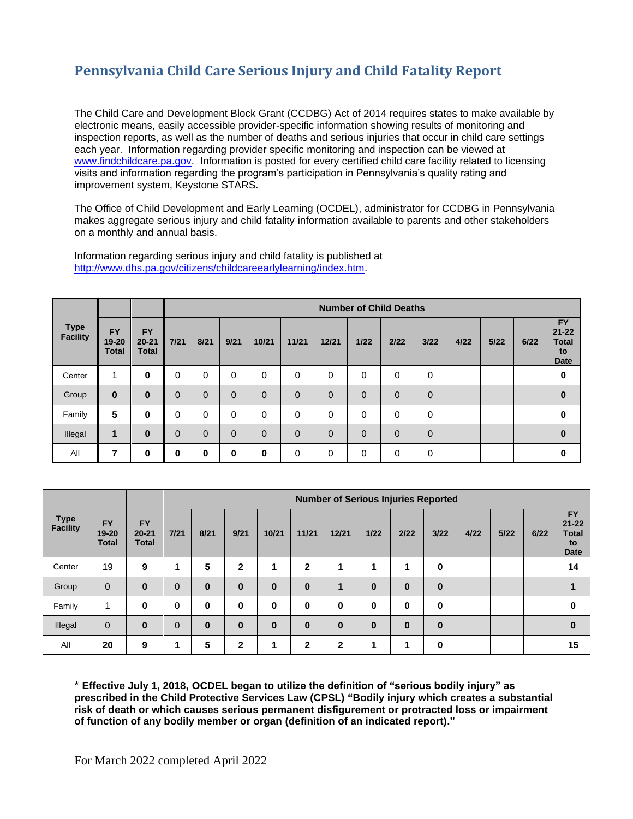## **Pennsylvania Child Care Serious Injury and Child Fatality Report**

The Child Care and Development Block Grant (CCDBG) Act of 2014 requires states to make available by electronic means, easily accessible provider-specific information showing results of monitoring and inspection reports, as well as the number of deaths and serious injuries that occur in child care settings each year. Information regarding provider specific monitoring and inspection can be viewed at [www.findchildcare.pa.gov.](http://www.findchildcare.pa.gov/) Information is posted for every certified child care facility related to licensing visits and information regarding the program's participation in Pennsylvania's quality rating and improvement system, Keystone STARS.

The Office of Child Development and Early Learning (OCDEL), administrator for CCDBG in Pennsylvania makes aggregate serious injury and child fatality information available to parents and other stakeholders on a monthly and annual basis.

|                                |                                    |                                        | <b>Number of Child Deaths</b> |                |                |              |          |                |             |                |                |      |        |      |                                                             |
|--------------------------------|------------------------------------|----------------------------------------|-------------------------------|----------------|----------------|--------------|----------|----------------|-------------|----------------|----------------|------|--------|------|-------------------------------------------------------------|
| <b>Type</b><br><b>Facility</b> | <b>FY</b><br>19-20<br><b>Total</b> | <b>FY</b><br>$20 - 21$<br><b>Total</b> | 7/21                          | 8/21           | 9/21           | 10/21        | 11/21    | 12/21          | $1/22$      | 2/22           | 3/22           | 4/22 | $5/22$ | 6/22 | <b>FY</b><br>$21 - 22$<br><b>Total</b><br>to<br><b>Date</b> |
| Center                         | 4                                  | 0                                      | 0                             | 0              | 0              | 0            | $\Omega$ | 0              | $\mathbf 0$ | 0              | $\mathbf 0$    |      |        |      | 0                                                           |
| Group                          | $\bf{0}$                           | $\bf{0}$                               | $\overline{0}$                | $\Omega$       | $\overline{0}$ | $\mathbf{0}$ | $\Omega$ | $\overline{0}$ | $\Omega$    | $\Omega$       | $\mathbf 0$    |      |        |      | $\bf{0}$                                                    |
| Family                         | 5                                  | 0                                      | 0                             | 0              | $\Omega$       | 0            | $\Omega$ | 0              | 0           | 0              | $\mathbf 0$    |      |        |      | 0                                                           |
| Illegal                        | 1                                  | $\bf{0}$                               | $\overline{0}$                | $\overline{0}$ | $\overline{0}$ | $\mathbf{0}$ | $\Omega$ | $\overline{0}$ | $\mathbf 0$ | $\overline{0}$ | $\overline{0}$ |      |        |      | $\bf{0}$                                                    |
| All                            | 7                                  | 0                                      | 0                             | $\mathbf 0$    | 0              | 0            | $\Omega$ | 0              | 0           | $\Omega$       | 0              |      |        |      | 0                                                           |

Information regarding serious injury and child fatality is published at [http://www.dhs.pa.gov/citizens/childcareearlylearning/index.htm.](http://www.dhs.pa.gov/citizens/childcareearlylearning/index.htm)

|                                |                                        |                                        |             | <b>Number of Serious Injuries Reported</b> |              |          |              |              |          |          |          |      |      |      |                                                             |  |
|--------------------------------|----------------------------------------|----------------------------------------|-------------|--------------------------------------------|--------------|----------|--------------|--------------|----------|----------|----------|------|------|------|-------------------------------------------------------------|--|
| <b>Type</b><br><b>Facility</b> | <b>FY</b><br>$19 - 20$<br><b>Total</b> | <b>FY</b><br>$20 - 21$<br><b>Total</b> | 7/21        | 8/21                                       | 9/21         | 10/21    | 11/21        | 12/21        | $1/22$   | 2/22     | 3/22     | 4/22 | 5/22 | 6/22 | <b>FY</b><br>$21 - 22$<br><b>Total</b><br>to<br><b>Date</b> |  |
| Center                         | 19                                     | 9                                      |             | 5                                          | $\mathbf{2}$ | 1        | $\mathbf{2}$ | 1            | 1        | 1        | 0        |      |      |      | 14                                                          |  |
| Group                          | $\mathbf 0$                            | $\bf{0}$                               | $\mathbf 0$ | $\bf{0}$                                   | $\bf{0}$     | $\bf{0}$ | $\bf{0}$     | $\mathbf 1$  | $\bf{0}$ | $\bf{0}$ | $\bf{0}$ |      |      |      |                                                             |  |
| Family                         | 4                                      | 0                                      | 0           | $\bf{0}$                                   | 0            | 0        | 0            | $\bf{0}$     | $\bf{0}$ | $\bf{0}$ | 0        |      |      |      | 0                                                           |  |
| Illegal                        | $\mathbf 0$                            | $\bf{0}$                               | $\mathbf 0$ | $\bf{0}$                                   | $\bf{0}$     | $\bf{0}$ | $\bf{0}$     | $\bf{0}$     | $\bf{0}$ | $\bf{0}$ | $\bf{0}$ |      |      |      | $\bf{0}$                                                    |  |
| All                            | 20                                     | 9                                      | 1           | 5                                          | $\mathbf{2}$ | 1        | $\mathbf{2}$ | $\mathbf{2}$ | 1        | 1        | 0        |      |      |      | 15                                                          |  |

\* **Effective July 1, 2018, OCDEL began to utilize the definition of "serious bodily injury" as prescribed in the Child Protective Services Law (CPSL) "Bodily injury which creates a substantial risk of death or which causes serious permanent disfigurement or protracted loss or impairment of function of any bodily member or organ (definition of an indicated report)."**